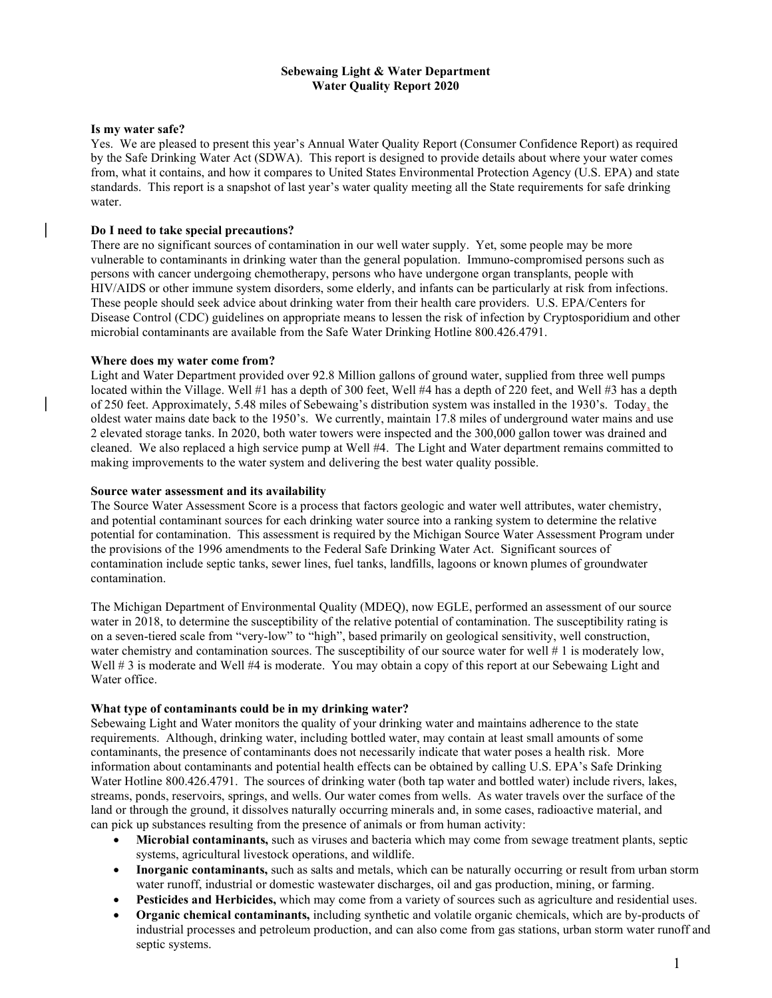## Sebewaing Light & Water Department Water Quality Report 2020

## Is my water safe?

Yes. We are pleased to present this year's Annual Water Quality Report (Consumer Confidence Report) as required by the Safe Drinking Water Act (SDWA). This report is designed to provide details about where your water comes from, what it contains, and how it compares to United States Environmental Protection Agency (U.S. EPA) and state standards. This report is a snapshot of last year's water quality meeting all the State requirements for safe drinking water.

## Do I need to take special precautions?

There are no significant sources of contamination in our well water supply. Yet, some people may be more vulnerable to contaminants in drinking water than the general population. Immuno-compromised persons such as persons with cancer undergoing chemotherapy, persons who have undergone organ transplants, people with HIV/AIDS or other immune system disorders, some elderly, and infants can be particularly at risk from infections. These people should seek advice about drinking water from their health care providers. U.S. EPA/Centers for Disease Control (CDC) guidelines on appropriate means to lessen the risk of infection by Cryptosporidium and other microbial contaminants are available from the Safe Water Drinking Hotline 800.426.4791.

## Where does my water come from?

Light and Water Department provided over 92.8 Million gallons of ground water, supplied from three well pumps located within the Village. Well #1 has a depth of 300 feet, Well #4 has a depth of 220 feet, and Well #3 has a depth of 250 feet. Approximately, 5.48 miles of Sebewaing's distribution system was installed in the 1930's. Today, the oldest water mains date back to the 1950's. We currently, maintain 17.8 miles of underground water mains and use 2 elevated storage tanks. In 2020, both water towers were inspected and the 300,000 gallon tower was drained and cleaned. We also replaced a high service pump at Well #4. The Light and Water department remains committed to making improvements to the water system and delivering the best water quality possible.

## Source water assessment and its availability

The Source Water Assessment Score is a process that factors geologic and water well attributes, water chemistry, and potential contaminant sources for each drinking water source into a ranking system to determine the relative potential for contamination. This assessment is required by the Michigan Source Water Assessment Program under the provisions of the 1996 amendments to the Federal Safe Drinking Water Act. Significant sources of contamination include septic tanks, sewer lines, fuel tanks, landfills, lagoons or known plumes of groundwater contamination.

The Michigan Department of Environmental Quality (MDEQ), now EGLE, performed an assessment of our source water in 2018, to determine the susceptibility of the relative potential of contamination. The susceptibility rating is on a seven-tiered scale from "very-low" to "high", based primarily on geological sensitivity, well construction, water chemistry and contamination sources. The susceptibility of our source water for well # 1 is moderately low, Well # 3 is moderate and Well #4 is moderate. You may obtain a copy of this report at our Sebewaing Light and Water office.

## What type of contaminants could be in my drinking water?

Sebewaing Light and Water monitors the quality of your drinking water and maintains adherence to the state requirements. Although, drinking water, including bottled water, may contain at least small amounts of some contaminants, the presence of contaminants does not necessarily indicate that water poses a health risk. More information about contaminants and potential health effects can be obtained by calling U.S. EPA's Safe Drinking Water Hotline 800.426.4791. The sources of drinking water (both tap water and bottled water) include rivers, lakes, streams, ponds, reservoirs, springs, and wells. Our water comes from wells. As water travels over the surface of the land or through the ground, it dissolves naturally occurring minerals and, in some cases, radioactive material, and can pick up substances resulting from the presence of animals or from human activity:

- Microbial contaminants, such as viruses and bacteria which may come from sewage treatment plants, septic systems, agricultural livestock operations, and wildlife.
- Inorganic contaminants, such as salts and metals, which can be naturally occurring or result from urban storm water runoff, industrial or domestic wastewater discharges, oil and gas production, mining, or farming.
- Pesticides and Herbicides, which may come from a variety of sources such as agriculture and residential uses.
- Organic chemical contaminants, including synthetic and volatile organic chemicals, which are by-products of industrial processes and petroleum production, and can also come from gas stations, urban storm water runoff and septic systems.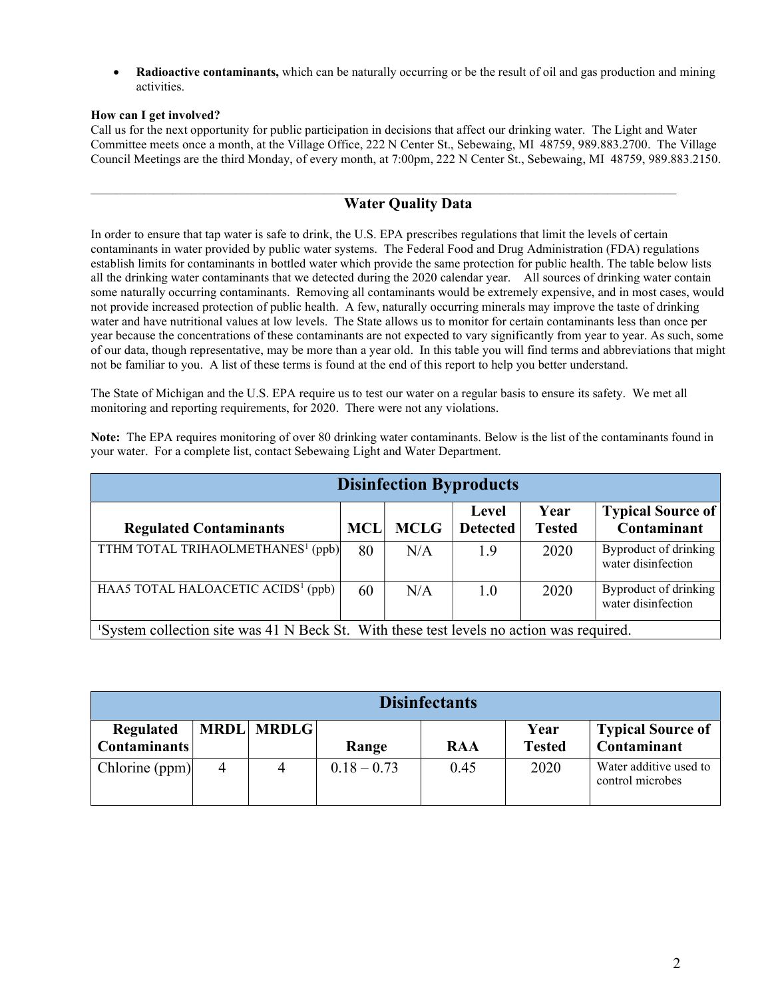Radioactive contaminants, which can be naturally occurring or be the result of oil and gas production and mining activities.

## How can I get involved?

Call us for the next opportunity for public participation in decisions that affect our drinking water. The Light and Water Committee meets once a month, at the Village Office, 222 N Center St., Sebewaing, MI 48759, 989.883.2700. The Village Council Meetings are the third Monday, of every month, at 7:00pm, 222 N Center St., Sebewaing, MI 48759, 989.883.2150.

## Water Quality Data

 $\mathcal{L}_\mathcal{L} = \mathcal{L}_\mathcal{L} = \mathcal{L}_\mathcal{L} = \mathcal{L}_\mathcal{L} = \mathcal{L}_\mathcal{L} = \mathcal{L}_\mathcal{L} = \mathcal{L}_\mathcal{L} = \mathcal{L}_\mathcal{L} = \mathcal{L}_\mathcal{L} = \mathcal{L}_\mathcal{L} = \mathcal{L}_\mathcal{L} = \mathcal{L}_\mathcal{L} = \mathcal{L}_\mathcal{L} = \mathcal{L}_\mathcal{L} = \mathcal{L}_\mathcal{L} = \mathcal{L}_\mathcal{L} = \mathcal{L}_\mathcal{L}$ 

In order to ensure that tap water is safe to drink, the U.S. EPA prescribes regulations that limit the levels of certain contaminants in water provided by public water systems. The Federal Food and Drug Administration (FDA) regulations establish limits for contaminants in bottled water which provide the same protection for public health. The table below lists all the drinking water contaminants that we detected during the 2020 calendar year. All sources of drinking water contain some naturally occurring contaminants. Removing all contaminants would be extremely expensive, and in most cases, would not provide increased protection of public health. A few, naturally occurring minerals may improve the taste of drinking water and have nutritional values at low levels. The State allows us to monitor for certain contaminants less than once per year because the concentrations of these contaminants are not expected to vary significantly from year to year. As such, some of our data, though representative, may be more than a year old. In this table you will find terms and abbreviations that might not be familiar to you. A list of these terms is found at the end of this report to help you better understand.

The State of Michigan and the U.S. EPA require us to test our water on a regular basis to ensure its safety. We met all monitoring and reporting requirements, for 2020. There were not any violations.

Note: The EPA requires monitoring of over 80 drinking water contaminants. Below is the list of the contaminants found in your water. For a complete list, contact Sebewaing Light and Water Department.

|                                                                                         |            |             | <b>Disinfection Byproducts</b> |                       |                                             |
|-----------------------------------------------------------------------------------------|------------|-------------|--------------------------------|-----------------------|---------------------------------------------|
| <b>Regulated Contaminants</b>                                                           | <b>MCL</b> | <b>MCLG</b> | Level<br><b>Detected</b>       | Year<br><b>Tested</b> | <b>Typical Source of</b><br>Contaminant     |
| TTHM TOTAL TRIHAOLMETHANES <sup>1</sup> (ppb)                                           | 80         | N/A         | 1.9                            | 2020                  | Byproduct of drinking<br>water disinfection |
| HAA5 TOTAL HALOACETIC ACIDS <sup>1</sup> (ppb)                                          | 60         | N/A         | 1.0                            | 2020                  | Byproduct of drinking<br>water disinfection |
| System collection site was 41 N Beck St. With these test levels no action was required. |            |             |                                |                       |                                             |

|                                  |   |                   |               | <b>Disinfectants</b> |                       |                                            |
|----------------------------------|---|-------------------|---------------|----------------------|-----------------------|--------------------------------------------|
| Regulated<br><b>Contaminants</b> |   | <b>MRDL MRDLG</b> | Range         | <b>RAA</b>           | Year<br><b>Tested</b> | <b>Typical Source of</b><br>Contaminant    |
| Chlorine (ppm)                   | 4 | 4                 | $0.18 - 0.73$ | 0.45                 | 2020                  | Water additive used to<br>control microbes |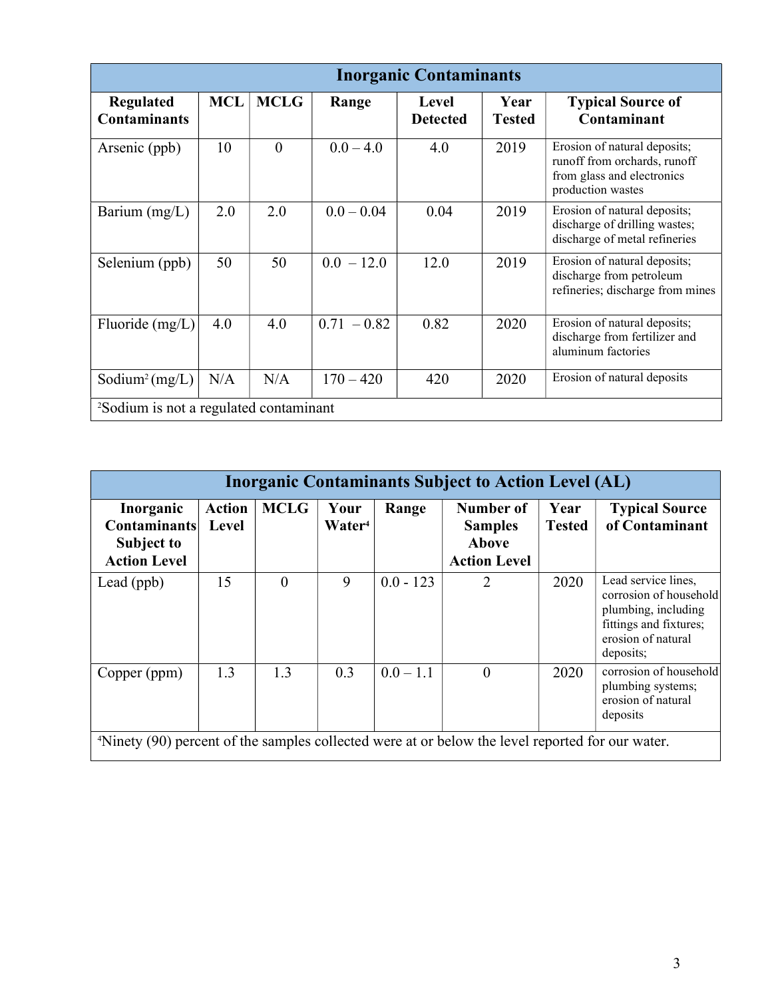|                                                    |            |             |               | <b>Inorganic Contaminants</b>   |                       |                                                                                                                 |  |
|----------------------------------------------------|------------|-------------|---------------|---------------------------------|-----------------------|-----------------------------------------------------------------------------------------------------------------|--|
| <b>Regulated</b><br><b>Contaminants</b>            | <b>MCL</b> | <b>MCLG</b> | Range         | <b>Level</b><br><b>Detected</b> | Year<br><b>Tested</b> | <b>Typical Source of</b><br>Contaminant                                                                         |  |
| Arsenic (ppb)                                      | 10         | $\theta$    | $0.0 - 4.0$   | 4.0                             | 2019                  | Erosion of natural deposits;<br>runoff from orchards, runoff<br>from glass and electronics<br>production wastes |  |
| Barium (mg/L)                                      | 2.0        | 2.0         | $0.0 - 0.04$  | 0.04                            | 2019                  | Erosion of natural deposits;<br>discharge of drilling wastes;<br>discharge of metal refineries                  |  |
| Selenium (ppb)                                     | 50         | 50          | $0.0 - 12.0$  | 12.0                            | 2019                  | Erosion of natural deposits;<br>discharge from petroleum<br>refineries; discharge from mines                    |  |
| Fluoride (mg/L)                                    | 4.0        | 4.0         | $0.71 - 0.82$ | 0.82                            | 2020                  | Erosion of natural deposits;<br>discharge from fertilizer and<br>aluminum factories                             |  |
| Sodium <sup>2</sup> (mg/L)                         | N/A        | N/A         | $170 - 420$   | 420                             | 2020                  | Erosion of natural deposits                                                                                     |  |
| <sup>2</sup> Sodium is not a regulated contaminant |            |             |               |                                 |                       |                                                                                                                 |  |

| <b>Inorganic Contaminants Subject to Action Level (AL)</b>                                                   |                               |             |                            |             |                                                                    |                       |                                                                                                                                   |
|--------------------------------------------------------------------------------------------------------------|-------------------------------|-------------|----------------------------|-------------|--------------------------------------------------------------------|-----------------------|-----------------------------------------------------------------------------------------------------------------------------------|
| Inorganic<br><b>Contaminants</b><br>Subject to<br><b>Action Level</b>                                        | <b>Action</b><br><b>Level</b> | <b>MCLG</b> | Your<br>Water <sup>4</sup> | Range       | <b>Number of</b><br><b>Samples</b><br>Above<br><b>Action Level</b> | Year<br><b>Tested</b> | <b>Typical Source</b><br>of Contaminant                                                                                           |
| Lead (ppb)                                                                                                   | 15                            | $\theta$    | 9                          | $0.0 - 123$ | 2                                                                  | 2020                  | Lead service lines,<br>corrosion of household<br>plumbing, including<br>fittings and fixtures;<br>erosion of natural<br>deposits; |
| Copper (ppm)                                                                                                 | 1.3                           | 1.3         | 0.3                        | $0.0 - 1.1$ | $\theta$                                                           | 2020                  | corrosion of household<br>plumbing systems;<br>erosion of natural<br>deposits                                                     |
| <sup>4</sup> Ninety (90) percent of the samples collected were at or below the level reported for our water. |                               |             |                            |             |                                                                    |                       |                                                                                                                                   |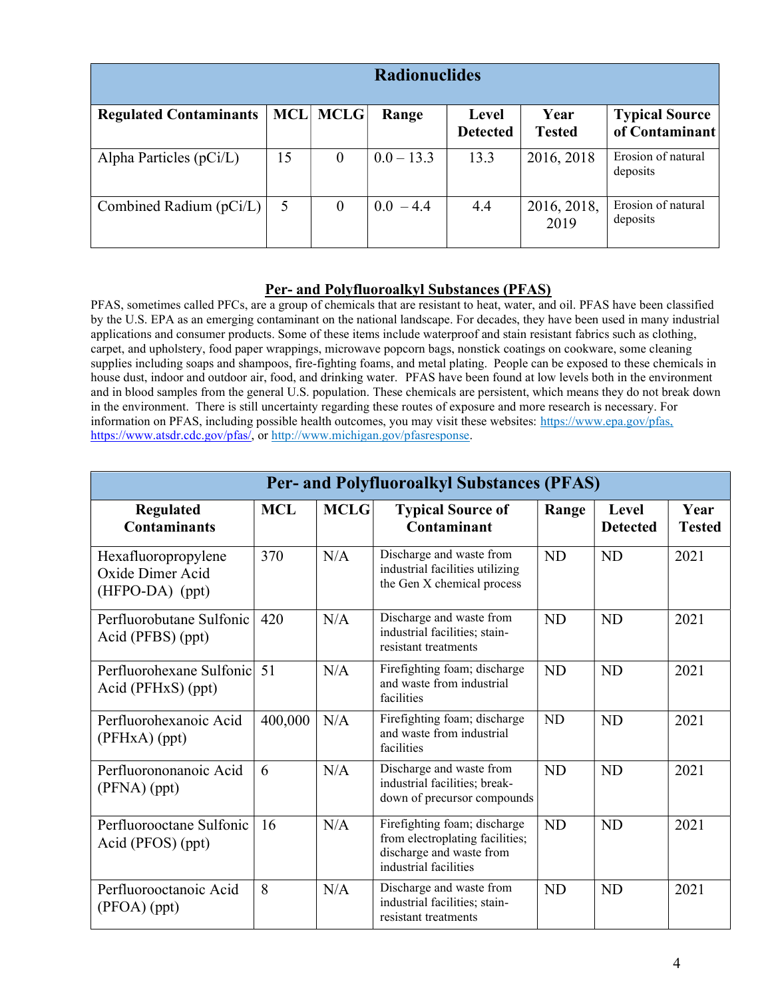| <b>Radionuclides</b>          |            |             |              |                          |                       |                                         |
|-------------------------------|------------|-------------|--------------|--------------------------|-----------------------|-----------------------------------------|
| <b>Regulated Contaminants</b> | <b>MCL</b> | <b>MCLG</b> | Range        | Level<br><b>Detected</b> | Year<br><b>Tested</b> | <b>Typical Source</b><br>of Contaminant |
| Alpha Particles $(pCi/L)$     | 15         | $\theta$    | $0.0 - 13.3$ | 13.3                     | 2016, 2018            | Erosion of natural<br>deposits          |
| Combined Radium (pCi/L)       | 5          | $\theta$    | $0.0 - 4.4$  | 4.4                      | 2016, 2018,<br>2019   | Erosion of natural<br>deposits          |

# Per- and Polyfluoroalkyl Substances (PFAS)

PFAS, sometimes called PFCs, are a group of chemicals that are resistant to heat, water, and oil. PFAS have been classified by the U.S. EPA as an emerging contaminant on the national landscape. For decades, they have been used in many industrial applications and consumer products. Some of these items include waterproof and stain resistant fabrics such as clothing, carpet, and upholstery, food paper wrappings, microwave popcorn bags, nonstick coatings on cookware, some cleaning supplies including soaps and shampoos, fire-fighting foams, and metal plating. People can be exposed to these chemicals in house dust, indoor and outdoor air, food, and drinking water. PFAS have been found at low levels both in the environment and in blood samples from the general U.S. population. These chemicals are persistent, which means they do not break down in the environment. There is still uncertainty regarding these routes of exposure and more research is necessary. For information on PFAS, including possible health outcomes, you may visit these websites: https://www.epa.gov/pfas, https://www.atsdr.cdc.gov/pfas/, or http://www.michigan.gov/pfasresponse.

| <b>Per- and Polyfluoroalkyl Substances (PFAS)</b>          |            |             |                                                                                                                      |           |                          |                       |
|------------------------------------------------------------|------------|-------------|----------------------------------------------------------------------------------------------------------------------|-----------|--------------------------|-----------------------|
| Regulated<br><b>Contaminants</b>                           | <b>MCL</b> | <b>MCLG</b> | <b>Typical Source of</b><br>Contaminant                                                                              | Range     | Level<br><b>Detected</b> | Year<br><b>Tested</b> |
| Hexafluoropropylene<br>Oxide Dimer Acid<br>(HFPO-DA) (ppt) | 370        | N/A         | Discharge and waste from<br>industrial facilities utilizing<br>the Gen X chemical process                            | <b>ND</b> | <b>ND</b>                | 2021                  |
| Perfluorobutane Sulfonic<br>Acid (PFBS) (ppt)              | 420        | N/A         | Discharge and waste from<br>industrial facilities; stain-<br>resistant treatments                                    | <b>ND</b> | <b>ND</b>                | 2021                  |
| Perfluorohexane Sulfonic 51<br>Acid (PFHxS) (ppt)          |            | N/A         | Firefighting foam; discharge<br>and waste from industrial<br>facilities                                              | <b>ND</b> | <b>ND</b>                | 2021                  |
| Perfluorohexanoic Acid<br>(PFHxA) (ppt)                    | 400,000    | N/A         | Firefighting foam; discharge<br>and waste from industrial<br>facilities                                              | <b>ND</b> | <b>ND</b>                | 2021                  |
| Perfluorononanoic Acid<br>$(PFNA)$ (ppt)                   | 6          | N/A         | Discharge and waste from<br>industrial facilities; break-<br>down of precursor compounds                             | <b>ND</b> | <b>ND</b>                | 2021                  |
| Perfluorooctane Sulfonic<br>Acid (PFOS) (ppt)              | 16         | N/A         | Firefighting foam; discharge<br>from electroplating facilities;<br>discharge and waste from<br>industrial facilities | <b>ND</b> | <b>ND</b>                | 2021                  |
| Perfluorooctanoic Acid<br>(PFOA) (ppt)                     | 8          | N/A         | Discharge and waste from<br>industrial facilities; stain-<br>resistant treatments                                    | <b>ND</b> | <b>ND</b>                | 2021                  |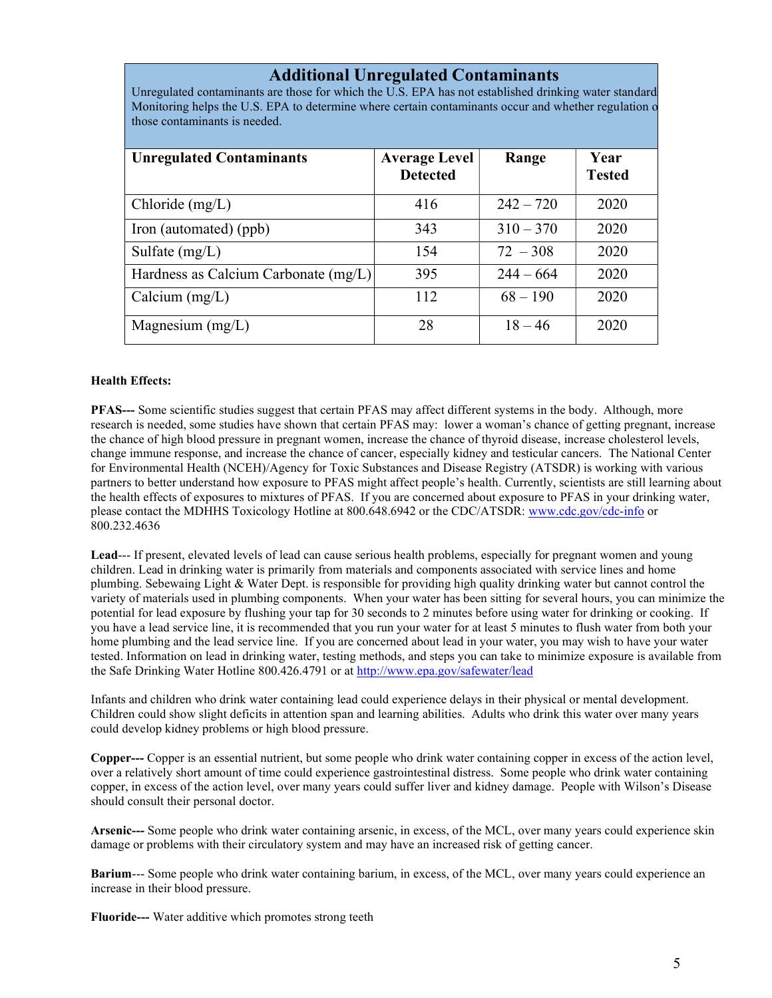## Additional Unregulated Contaminants

Unregulated contaminants are those for which the U.S. EPA has not established drinking water standard Monitoring helps the U.S. EPA to determine where certain contaminants occur and whether regulation o those contaminants is needed.

| <b>Unregulated Contaminants</b>        | <b>Average Level</b><br><b>Detected</b> | Range       | Year<br><b>Tested</b> |
|----------------------------------------|-----------------------------------------|-------------|-----------------------|
| Chloride (mg/L)                        | 416                                     | $242 - 720$ | 2020                  |
| Iron (automated) (ppb)                 | 343                                     | $310 - 370$ | 2020                  |
| Sulfate $(mg/L)$                       | 154                                     | $72 - 308$  | 2020                  |
| Hardness as Calcium Carbonate $(mg/L)$ | 395                                     | $244 - 664$ | 2020                  |
| Calcium $(mg/L)$                       | 112                                     | $68 - 190$  | 2020                  |
| Magnesium $(mg/L)$                     | 28                                      | $18 - 46$   | 2020                  |

## Health Effects:

PFAS--- Some scientific studies suggest that certain PFAS may affect different systems in the body. Although, more research is needed, some studies have shown that certain PFAS may: lower a woman's chance of getting pregnant, increase the chance of high blood pressure in pregnant women, increase the chance of thyroid disease, increase cholesterol levels, change immune response, and increase the chance of cancer, especially kidney and testicular cancers. The National Center for Environmental Health (NCEH)/Agency for Toxic Substances and Disease Registry (ATSDR) is working with various partners to better understand how exposure to PFAS might affect people's health. Currently, scientists are still learning about the health effects of exposures to mixtures of PFAS. If you are concerned about exposure to PFAS in your drinking water, please contact the MDHHS Toxicology Hotline at 800.648.6942 or the CDC/ATSDR: www.cdc.gov/cdc-info or 800.232.4636

Lead--- If present, elevated levels of lead can cause serious health problems, especially for pregnant women and young children. Lead in drinking water is primarily from materials and components associated with service lines and home plumbing. Sebewaing Light & Water Dept. is responsible for providing high quality drinking water but cannot control the variety of materials used in plumbing components. When your water has been sitting for several hours, you can minimize the potential for lead exposure by flushing your tap for 30 seconds to 2 minutes before using water for drinking or cooking. If you have a lead service line, it is recommended that you run your water for at least 5 minutes to flush water from both your home plumbing and the lead service line. If you are concerned about lead in your water, you may wish to have your water tested. Information on lead in drinking water, testing methods, and steps you can take to minimize exposure is available from the Safe Drinking Water Hotline 800.426.4791 or at http://www.epa.gov/safewater/lead

Infants and children who drink water containing lead could experience delays in their physical or mental development. Children could show slight deficits in attention span and learning abilities. Adults who drink this water over many years could develop kidney problems or high blood pressure.

Copper--- Copper is an essential nutrient, but some people who drink water containing copper in excess of the action level, over a relatively short amount of time could experience gastrointestinal distress. Some people who drink water containing copper, in excess of the action level, over many years could suffer liver and kidney damage. People with Wilson's Disease should consult their personal doctor.

Arsenic--- Some people who drink water containing arsenic, in excess, of the MCL, over many years could experience skin damage or problems with their circulatory system and may have an increased risk of getting cancer.

Barium--- Some people who drink water containing barium, in excess, of the MCL, over many years could experience an increase in their blood pressure.

Fluoride--- Water additive which promotes strong teeth